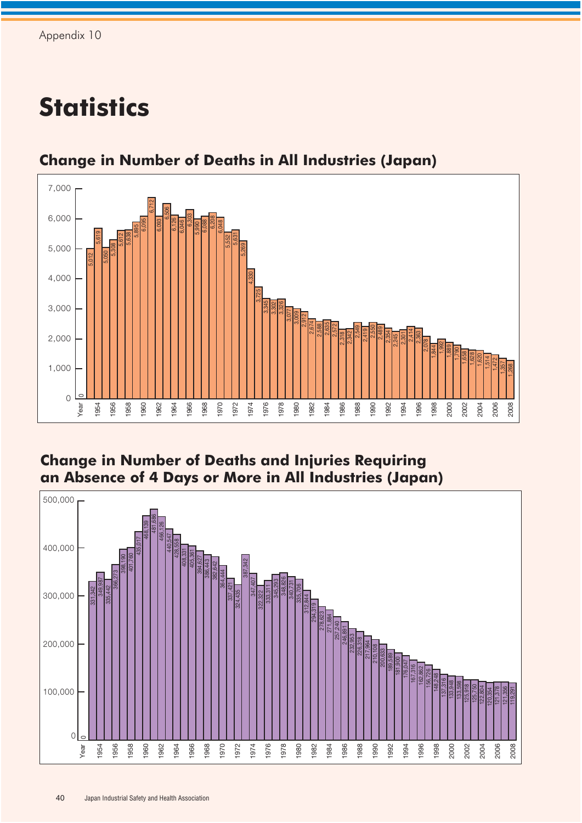## **Statistics**



## **Change in Number of Deaths in All Industries (Japan)**

## **Change in Number of Deaths and Injuries Requiring an Absence of 4 Days or More in All Industries (Japan)**